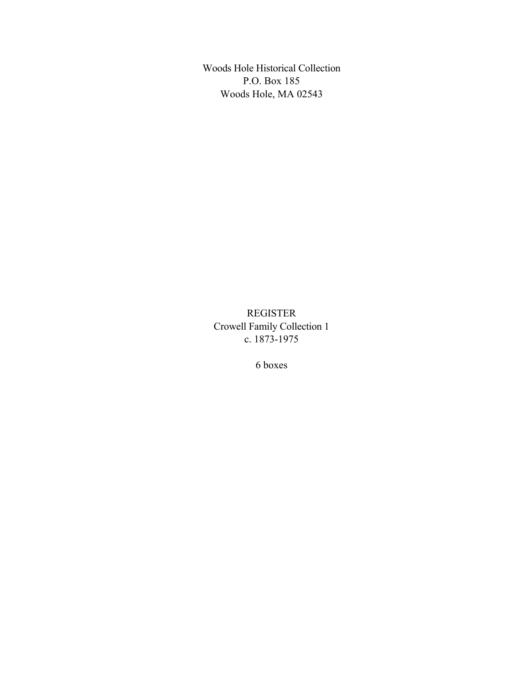Woods Hole Historical Collection P.O. Box 185 Woods Hole, MA 02543

REGISTER Crowell Family Collection 1 c. 1873-1975

6 boxes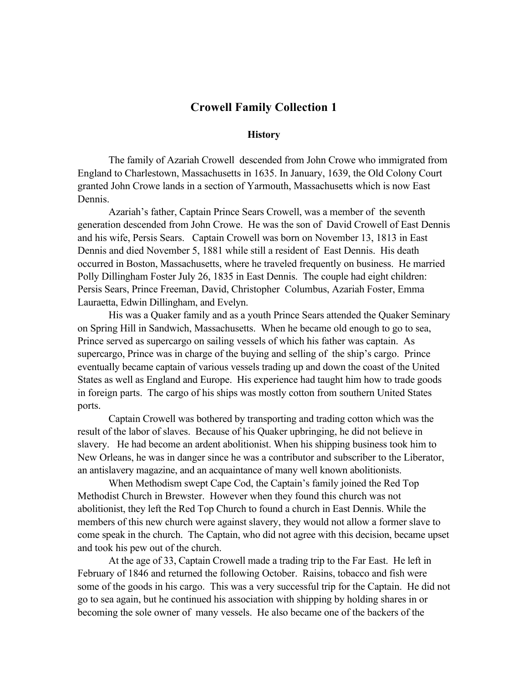#### **Crowell Family Collection 1**

#### **History**

The family of Azariah Crowell descended from John Crowe who immigrated from England to Charlestown, Massachusetts in 1635. In January, 1639, the Old Colony Court granted John Crowe lands in a section of Yarmouth, Massachusetts which is now East Dennis.

Azariah's father, Captain Prince Sears Crowell, was a member of the seventh generation descended from John Crowe. He was the son of David Crowell of East Dennis and his wife, Persis Sears. Captain Crowell was born on November 13, 1813 in East Dennis and died November 5, 1881 while still a resident of East Dennis. His death occurred in Boston, Massachusetts, where he traveled frequently on business. He married Polly Dillingham Foster July 26, 1835 in East Dennis. The couple had eight children: Persis Sears, Prince Freeman, David, Christopher Columbus, Azariah Foster, Emma Lauraetta, Edwin Dillingham, and Evelyn.

His was a Quaker family and as a youth Prince Sears attended the Quaker Seminary on Spring Hill in Sandwich, Massachusetts. When he became old enough to go to sea, Prince served as supercargo on sailing vessels of which his father was captain. As supercargo, Prince was in charge of the buying and selling of the ship's cargo. Prince eventually became captain of various vessels trading up and down the coast of the United States as well as England and Europe. His experience had taught him how to trade goods in foreign parts. The cargo of his ships was mostly cotton from southern United States ports.

Captain Crowell was bothered by transporting and trading cotton which was the result of the labor of slaves. Because of his Quaker upbringing, he did not believe in slavery. He had become an ardent abolitionist. When his shipping business took him to New Orleans, he was in danger since he was a contributor and subscriber to the Liberator, an antislavery magazine, and an acquaintance of many well known abolitionists.

When Methodism swept Cape Cod, the Captain's family joined the Red Top Methodist Church in Brewster. However when they found this church was not abolitionist, they left the Red Top Church to found a church in East Dennis. While the members of this new church were against slavery, they would not allow a former slave to come speak in the church. The Captain, who did not agree with this decision, became upset and took his pew out of the church.

At the age of 33, Captain Crowell made a trading trip to the Far East. He left in February of 1846 and returned the following October. Raisins, tobacco and fish were some of the goods in his cargo. This was a very successful trip for the Captain. He did not go to sea again, but he continued his association with shipping by holding shares in or becoming the sole owner of many vessels. He also became one of the backers of the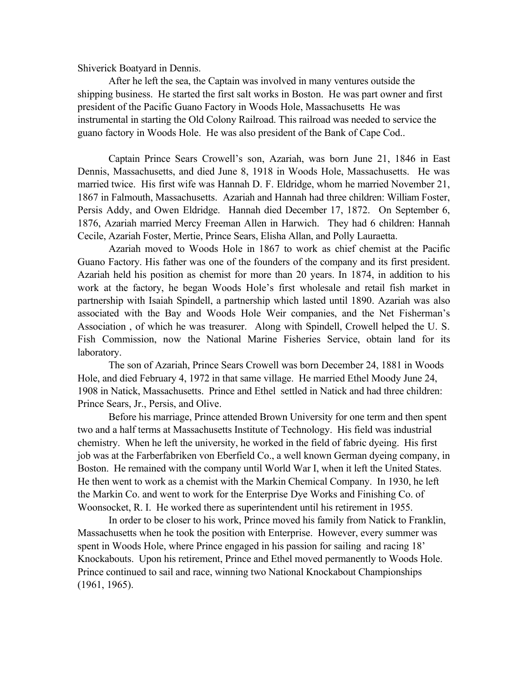Shiverick Boatyard in Dennis.

After he left the sea, the Captain was involved in many ventures outside the shipping business. He started the first salt works in Boston. He was part owner and first president of the Pacific Guano Factory in Woods Hole, Massachusetts He was instrumental in starting the Old Colony Railroad. This railroad was needed to service the guano factory in Woods Hole. He was also president of the Bank of Cape Cod..

Captain Prince Sears Crowell's son, Azariah, was born June 21, 1846 in East Dennis, Massachusetts, and died June 8, 1918 in Woods Hole, Massachusetts. He was married twice. His first wife was Hannah D. F. Eldridge, whom he married November 21, 1867 in Falmouth, Massachusetts. Azariah and Hannah had three children: William Foster, Persis Addy, and Owen Eldridge. Hannah died December 17, 1872. On September 6, 1876, Azariah married Mercy Freeman Allen in Harwich. They had 6 children: Hannah Cecile, Azariah Foster, Mertie, Prince Sears, Elisha Allan, and Polly Lauraetta.

Azariah moved to Woods Hole in 1867 to work as chief chemist at the Pacific Guano Factory. His father was one of the founders of the company and its first president. Azariah held his position as chemist for more than 20 years. In 1874, in addition to his work at the factory, he began Woods Hole's first wholesale and retail fish market in partnership with Isaiah Spindell, a partnership which lasted until 1890. Azariah was also associated with the Bay and Woods Hole Weir companies, and the Net Fisherman's Association , of which he was treasurer. Along with Spindell, Crowell helped the U. S. Fish Commission, now the National Marine Fisheries Service, obtain land for its laboratory.

The son of Azariah, Prince Sears Crowell was born December 24, 1881 in Woods Hole, and died February 4, 1972 in that same village. He married Ethel Moody June 24, 1908 in Natick, Massachusetts. Prince and Ethel settled in Natick and had three children: Prince Sears, Jr., Persis, and Olive.

Before his marriage, Prince attended Brown University for one term and then spent two and a half terms at Massachusetts Institute of Technology. His field was industrial chemistry. When he left the university, he worked in the field of fabric dyeing. His first job was at the Farberfabriken von Eberfield Co., a well known German dyeing company, in Boston. He remained with the company until World War I, when it left the United States. He then went to work as a chemist with the Markin Chemical Company. In 1930, he left the Markin Co. and went to work for the Enterprise Dye Works and Finishing Co. of Woonsocket, R. I. He worked there as superintendent until his retirement in 1955.

In order to be closer to his work, Prince moved his family from Natick to Franklin, Massachusetts when he took the position with Enterprise. However, every summer was spent in Woods Hole, where Prince engaged in his passion for sailing and racing 18' Knockabouts. Upon his retirement, Prince and Ethel moved permanently to Woods Hole. Prince continued to sail and race, winning two National Knockabout Championships (1961, 1965).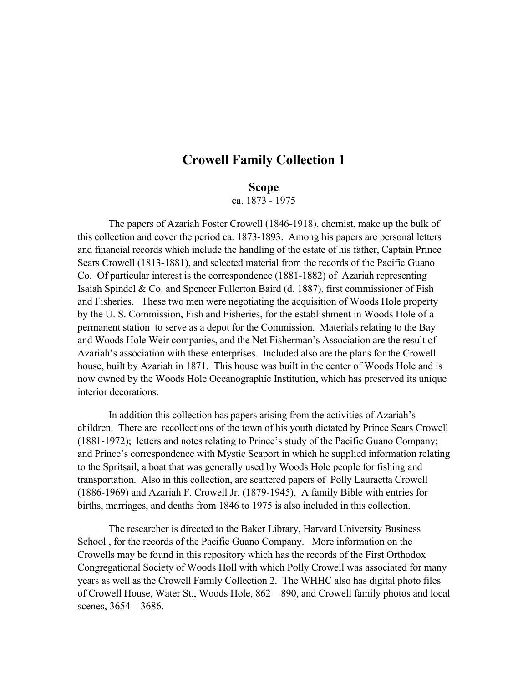# **Crowell Family Collection 1**

#### **Scope**

ca. 1873 - 1975

The papers of Azariah Foster Crowell (1846-1918), chemist, make up the bulk of this collection and cover the period ca. 1873-1893. Among his papers are personal letters and financial records which include the handling of the estate of his father, Captain Prince Sears Crowell (1813-1881), and selected material from the records of the Pacific Guano Co. Of particular interest is the correspondence (1881-1882) of Azariah representing Isaiah Spindel & Co. and Spencer Fullerton Baird (d. 1887), first commissioner of Fish and Fisheries. These two men were negotiating the acquisition of Woods Hole property by the U. S. Commission, Fish and Fisheries, for the establishment in Woods Hole of a permanent station to serve as a depot for the Commission. Materials relating to the Bay and Woods Hole Weir companies, and the Net Fisherman's Association are the result of Azariah's association with these enterprises. Included also are the plans for the Crowell house, built by Azariah in 1871. This house was built in the center of Woods Hole and is now owned by the Woods Hole Oceanographic Institution, which has preserved its unique interior decorations.

In addition this collection has papers arising from the activities of Azariah's children. There are recollections of the town of his youth dictated by Prince Sears Crowell (1881-1972); letters and notes relating to Prince's study of the Pacific Guano Company; and Prince's correspondence with Mystic Seaport in which he supplied information relating to the Spritsail, a boat that was generally used by Woods Hole people for fishing and transportation. Also in this collection, are scattered papers of Polly Lauraetta Crowell (1886-1969) and Azariah F. Crowell Jr. (1879-1945). A family Bible with entries for births, marriages, and deaths from 1846 to 1975 is also included in this collection.

The researcher is directed to the Baker Library, Harvard University Business School , for the records of the Pacific Guano Company. More information on the Crowells may be found in this repository which has the records of the First Orthodox Congregational Society of Woods Holl with which Polly Crowell was associated for many years as well as the Crowell Family Collection 2. The WHHC also has digital photo files of Crowell House, Water St., Woods Hole, 862 – 890, and Crowell family photos and local scenes, 3654 – 3686.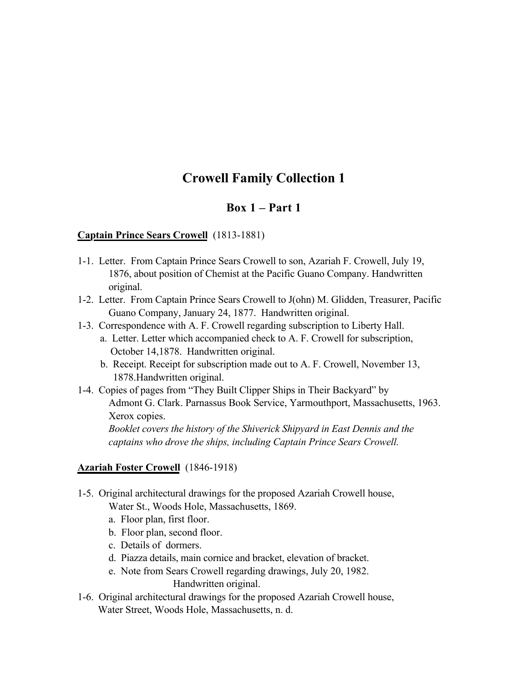# **Crowell Family Collection 1**

### **Box 1 – Part 1**

#### **Captain Prince Sears Crowell** (1813-1881)

- 1-1. Letter. From Captain Prince Sears Crowell to son, Azariah F. Crowell, July 19, 1876, about position of Chemist at the Pacific Guano Company. Handwritten original.
- 1-2. Letter. From Captain Prince Sears Crowell to J(ohn) M. Glidden, Treasurer, Pacific Guano Company, January 24, 1877. Handwritten original.
- 1-3. Correspondence with A. F. Crowell regarding subscription to Liberty Hall.
	- a. Letter. Letter which accompanied check to A. F. Crowell for subscription, October 14,1878. Handwritten original.
	- b. Receipt. Receipt for subscription made out to A. F. Crowell, November 13, 1878.Handwritten original.
- 1-4. Copies of pages from "They Built Clipper Ships in Their Backyard" by Admont G. Clark. Parnassus Book Service, Yarmouthport, Massachusetts, 1963. Xerox copies.

*Booklet covers the history of the Shiverick Shipyard in East Dennis and the captains who drove the ships, including Captain Prince Sears Crowell.*

#### **Azariah Foster Crowell** (1846-1918)

- 1-5. Original architectural drawings for the proposed Azariah Crowell house, Water St., Woods Hole, Massachusetts, 1869.
	- a. Floor plan, first floor.
	- b. Floor plan, second floor.
	- c. Details of dormers.
	- d. Piazza details, main cornice and bracket, elevation of bracket.
	- e. Note from Sears Crowell regarding drawings, July 20, 1982. Handwritten original.
- 1-6. Original architectural drawings for the proposed Azariah Crowell house, Water Street, Woods Hole, Massachusetts, n. d.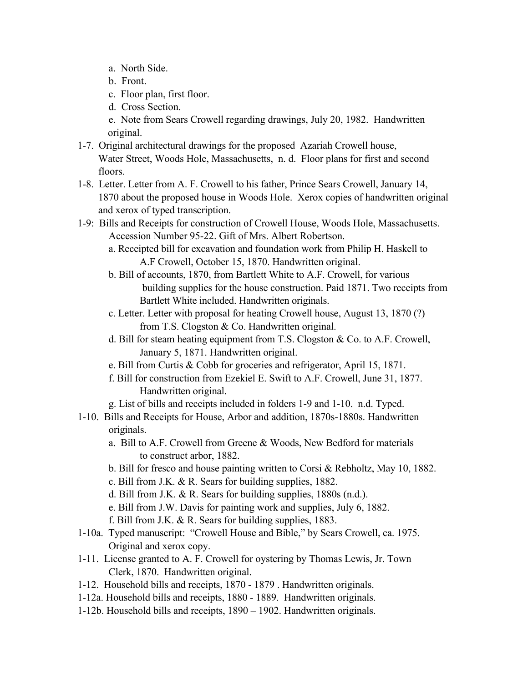- a. North Side.
- b. Front.
- c. Floor plan, first floor.
- d. Cross Section.
- e. Note from Sears Crowell regarding drawings, July 20, 1982. Handwritten original.
- 1-7. Original architectural drawings for the proposed Azariah Crowell house, Water Street, Woods Hole, Massachusetts, n. d. Floor plans for first and second floors.
- 1-8. Letter. Letter from A. F. Crowell to his father, Prince Sears Crowell, January 14, 1870 about the proposed house in Woods Hole. Xerox copies of handwritten original and xerox of typed transcription.
- 1-9: Bills and Receipts for construction of Crowell House, Woods Hole, Massachusetts. Accession Number 95-22. Gift of Mrs. Albert Robertson.
	- a. Receipted bill for excavation and foundation work from Philip H. Haskell to A.F Crowell, October 15, 1870. Handwritten original.
	- b. Bill of accounts, 1870, from Bartlett White to A.F. Crowell, for various building supplies for the house construction. Paid 1871. Two receipts from Bartlett White included. Handwritten originals.
	- c. Letter. Letter with proposal for heating Crowell house, August 13, 1870 (?) from T.S. Clogston & Co. Handwritten original.
	- d. Bill for steam heating equipment from T.S. Clogston & Co. to A.F. Crowell, January 5, 1871. Handwritten original.
	- e. Bill from Curtis & Cobb for groceries and refrigerator, April 15, 1871.
	- f. Bill for construction from Ezekiel E. Swift to A.F. Crowell, June 31, 1877. Handwritten original.
	- g. List of bills and receipts included in folders 1-9 and 1-10. n.d. Typed.
- 1-10. Bills and Receipts for House, Arbor and addition, 1870s-1880s. Handwritten originals.
	- a. Bill to A.F. Crowell from Greene & Woods, New Bedford for materials to construct arbor, 1882.
	- b. Bill for fresco and house painting written to Corsi & Rebholtz, May 10, 1882.
	- c. Bill from J.K. & R. Sears for building supplies, 1882.
	- d. Bill from J.K. & R. Sears for building supplies, 1880s (n.d.).
	- e. Bill from J.W. Davis for painting work and supplies, July 6, 1882.
	- f. Bill from J.K. & R. Sears for building supplies, 1883.
- 1-10a. Typed manuscript: "Crowell House and Bible," by Sears Crowell, ca. 1975. Original and xerox copy.
- 1-11. License granted to A. F. Crowell for oystering by Thomas Lewis, Jr. Town Clerk, 1870. Handwritten original.
- 1-12. Household bills and receipts, 1870 1879 . Handwritten originals.
- 1-12a. Household bills and receipts, 1880 1889. Handwritten originals.
- 1-12b. Household bills and receipts, 1890 1902. Handwritten originals.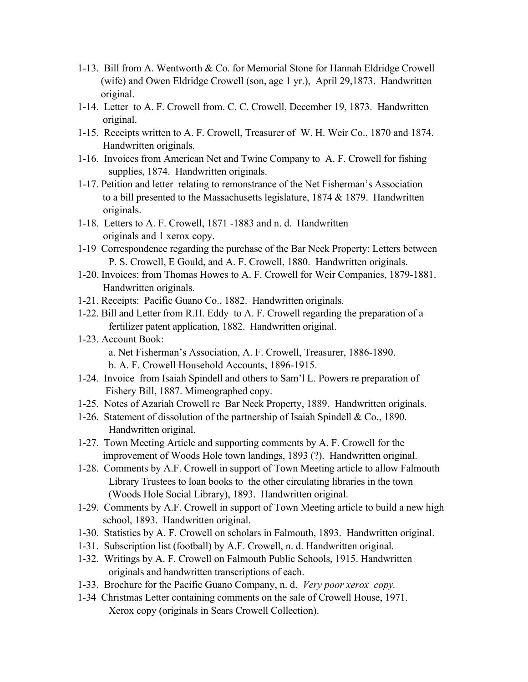- 1-13. Bill from A. Wentworth & Co. for Memorial Stone for Hannah Eldridge Crowell (wife) and Owen Eldridge Crowell (son, age 1 yr.), April 29,1873. Handwritten original.
- 1-14. Letter to A. F. Crowell from. C. C. Crowell, December 19, 1873. Handwritten original.
- 1-15. Receipts written to A. F. Crowell, Treasurer of W. H. Weir Co., 1870 and 1874. Handwritten originals.
- 1-16. Invoices from American Net and Twine Company to A. F. Crowell for fishing supplies, 1874. Handwritten originals.
- 1-17. Petition and letter relating to remonstrance of the Net Fisherman's Association to a bill presented to the Massachusetts legislature, 1874 & 1879. Handwritten originals.
- 1-18. Letters to A. F. Crowell, 1871 -1883 and n. d. Handwritten originals and 1 xerox copy.
- 1-19 Correspondence regarding the purchase of the Bar Neck Property: Letters between P. S. Crowell, E Gould, and A. F. Crowell, 1880. Handwritten originals.
- 1-20. Invoices: from Thomas Howes to A. F. Crowell for Weir Companies, 1879-1881. Handwritten originals.
- 1-21. Receipts: Pacific Guano Co., 1882. Handwritten originals.
- 1-22. Bill and Letter from R.H. Eddy to A. F. Crowell regarding the preparation of a fertilizer patent application, 1882. Handwritten original.
- 1-23. Account Book: a. Net Fisherman's Association, A. F. Crowell, Treasurer, 1886-1890. b. A. F. Crowell Household Accounts, 1896-1915.
- 1-24. Invoice from Isaiah Spindell and others to Sam'l L. Powers re preparation of Fishery Bill, 1887. Mimeographed copy.
- 1-25. Notes of Azariah Crowell re Bar Neck Property, 1889. Handwritten originals.
- 1-26. Statement of dissolution of the partnership of Isaiah Spindell & Co., 1890. Handwritten original.
- 1-27. Town Meeting Article and supporting comments by A. F. Crowell for the improvement of Woods Hole town landings, 1893 (?). Handwritten original.
- 1-28. Comments by A.F. Crowell in support of Town Meeting article to allow Falmouth Library Trustees to loan books to the other circulating libraries in the town (Woods Hole Social Library), 1893. Handwritten original.
- 1-29. Comments by A.F. Crowell in support of Town Meeting article to build a new high school, 1893. Handwritten original.
- 1-30. Statistics by A. F. Crowell on scholars in Falmouth, 1893. Handwritten original.
- 1-31. Subscription list (football) by A.F. Crowell, n. d. Handwritten original.
- 1-32. Writings by A. F. Crowell on Falmouth Public Schools, 1915. Handwritten originals and handwritten transcriptions of each.
- 1-33. Brochure for the Pacific Guano Company, n. d. *Very poor xerox copy.*
- 1-34 Christmas Letter containing comments on the sale of Crowell House, 1971. Xerox copy (originals in Sears Crowell Collection).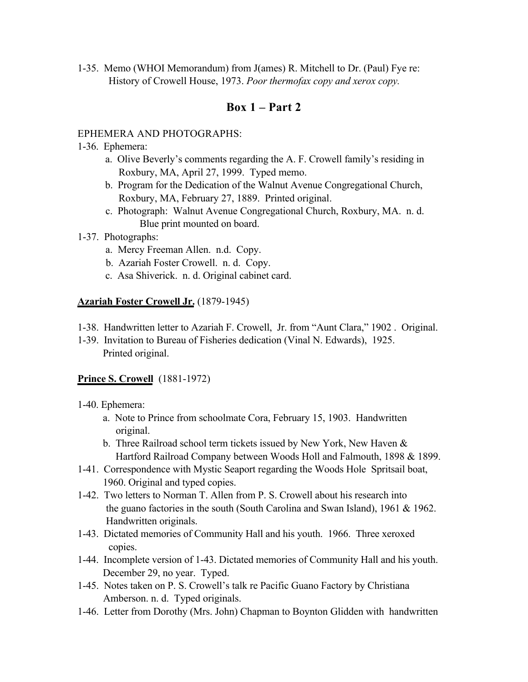1-35. Memo (WHOI Memorandum) from J(ames) R. Mitchell to Dr. (Paul) Fye re: History of Crowell House, 1973. *Poor thermofax copy and xerox copy.*

### **Box 1 – Part 2**

#### EPHEMERA AND PHOTOGRAPHS:

- 1-36. Ephemera:
	- a. Olive Beverly's comments regarding the A. F. Crowell family's residing in Roxbury, MA, April 27, 1999. Typed memo.
	- b. Program for the Dedication of the Walnut Avenue Congregational Church, Roxbury, MA, February 27, 1889. Printed original.
	- c. Photograph: Walnut Avenue Congregational Church, Roxbury, MA. n. d. Blue print mounted on board.
- 1-37. Photographs:
	- a. Mercy Freeman Allen. n.d. Copy.
	- b. Azariah Foster Crowell. n. d. Copy.
	- c. Asa Shiverick. n. d. Original cabinet card.

#### **Azariah Foster Crowell Jr.** (1879-1945)

- 1-38. Handwritten letter to Azariah F. Crowell, Jr. from "Aunt Clara," 1902 . Original.
- 1-39. Invitation to Bureau of Fisheries dedication (Vinal N. Edwards), 1925. Printed original.

### **Prince S. Crowell** (1881-1972)

- 1-40. Ephemera:
	- a. Note to Prince from schoolmate Cora, February 15, 1903. Handwritten original.
	- b. Three Railroad school term tickets issued by New York, New Haven & Hartford Railroad Company between Woods Holl and Falmouth, 1898 & 1899.
- 1-41. Correspondence with Mystic Seaport regarding the Woods Hole Spritsail boat, 1960. Original and typed copies.
- 1-42. Two letters to Norman T. Allen from P. S. Crowell about his research into the guano factories in the south (South Carolina and Swan Island), 1961 & 1962. Handwritten originals.
- 1-43. Dictated memories of Community Hall and his youth. 1966. Three xeroxed copies.
- 1-44. Incomplete version of 1-43. Dictated memories of Community Hall and his youth. December 29, no year. Typed.
- 1-45. Notes taken on P. S. Crowell's talk re Pacific Guano Factory by Christiana Amberson. n. d. Typed originals.
- 1-46. Letter from Dorothy (Mrs. John) Chapman to Boynton Glidden with handwritten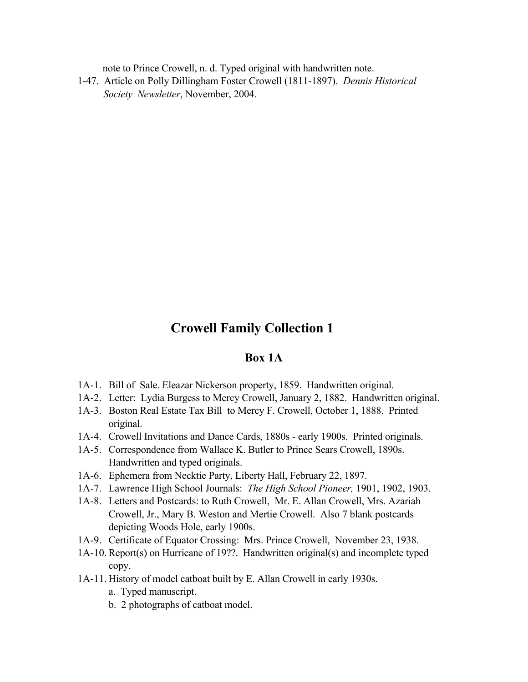note to Prince Crowell, n. d. Typed original with handwritten note.

1-47. Article on Polly Dillingham Foster Crowell (1811-1897). *Dennis Historical Society Newsletter*, November, 2004.

# **Crowell Family Collection 1**

### **Box 1A**

- 1A-1. Bill of Sale. Eleazar Nickerson property, 1859. Handwritten original.
- 1A-2. Letter: Lydia Burgess to Mercy Crowell, January 2, 1882. Handwritten original.
- 1A-3. Boston Real Estate Tax Bill to Mercy F. Crowell, October 1, 1888. Printed original.
- 1A-4. Crowell Invitations and Dance Cards, 1880s early 1900s. Printed originals.
- 1A-5. Correspondence from Wallace K. Butler to Prince Sears Crowell, 1890s. Handwritten and typed originals.
- 1A-6. Ephemera from Necktie Party, Liberty Hall, February 22, 1897.
- 1A-7. Lawrence High School Journals: *The High School Pioneer,* 1901, 1902, 1903.
- 1A-8. Letters and Postcards: to Ruth Crowell, Mr. E. Allan Crowell, Mrs. Azariah Crowell, Jr., Mary B. Weston and Mertie Crowell. Also 7 blank postcards depicting Woods Hole, early 1900s.
- 1A-9. Certificate of Equator Crossing: Mrs. Prince Crowell, November 23, 1938.
- 1A-10. Report(s) on Hurricane of 19??. Handwritten original(s) and incomplete typed copy.
- 1A-11. History of model catboat built by E. Allan Crowell in early 1930s.
	- a. Typed manuscript.
	- b. 2 photographs of catboat model.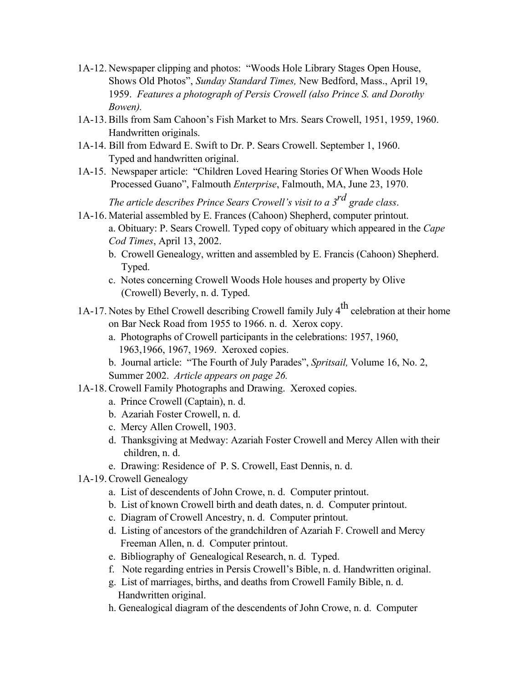- 1A-12. Newspaper clipping and photos: "Woods Hole Library Stages Open House, Shows Old Photos", *Sunday Standard Times,* New Bedford, Mass., April 19, 1959. *Features a photograph of Persis Crowell (also Prince S. and Dorothy Bowen).*
- 1A-13. Bills from Sam Cahoon's Fish Market to Mrs. Sears Crowell, 1951, 1959, 1960. Handwritten originals.
- 1A-14. Bill from Edward E. Swift to Dr. P. Sears Crowell. September 1, 1960. Typed and handwritten original.
- 1A-15. Newspaper article: "Children Loved Hearing Stories Of When Woods Hole Processed Guano", Falmouth *Enterprise*, Falmouth, MA, June 23, 1970.

*The article describes Prince Sears Crowell's visit to a 3rd grade class*.

- 1A-16. Material assembled by E. Frances (Cahoon) Shepherd, computer printout. a. Obituary: P. Sears Crowell. Typed copy of obituary which appeared in the *Cape Cod Times*, April 13, 2002.
	- b. Crowell Genealogy, written and assembled by E. Francis (Cahoon) Shepherd. Typed.
	- c. Notes concerning Crowell Woods Hole houses and property by Olive (Crowell) Beverly, n. d. Typed.
- 1A-17. Notes by Ethel Crowell describing Crowell family July  $4<sup>th</sup>$  celebration at their home on Bar Neck Road from 1955 to 1966. n. d. Xerox copy.
	- a. Photographs of Crowell participants in the celebrations: 1957, 1960, 1963,1966, 1967, 1969. Xeroxed copies.
	- b. Journal article: "The Fourth of July Parades", *Spritsail,* Volume 16, No. 2, Summer 2002. *Article appears on page 26.*
- 1A-18. Crowell Family Photographs and Drawing. Xeroxed copies.
	- a. Prince Crowell (Captain), n. d.
	- b. Azariah Foster Crowell, n. d.
	- c. Mercy Allen Crowell, 1903.
	- d. Thanksgiving at Medway: Azariah Foster Crowell and Mercy Allen with their children, n. d.
	- e. Drawing: Residence of P. S. Crowell, East Dennis, n. d.
- 1A-19. Crowell Genealogy
	- a. List of descendents of John Crowe, n. d. Computer printout.
	- b. List of known Crowell birth and death dates, n. d. Computer printout.
	- c. Diagram of Crowell Ancestry, n. d. Computer printout.
	- d. Listing of ancestors of the grandchildren of Azariah F. Crowell and Mercy Freeman Allen, n. d. Computer printout.
	- e. Bibliography of Genealogical Research, n. d. Typed.
	- f. Note regarding entries in Persis Crowell's Bible, n. d. Handwritten original.
	- g. List of marriages, births, and deaths from Crowell Family Bible, n. d. Handwritten original.
	- h. Genealogical diagram of the descendents of John Crowe, n. d. Computer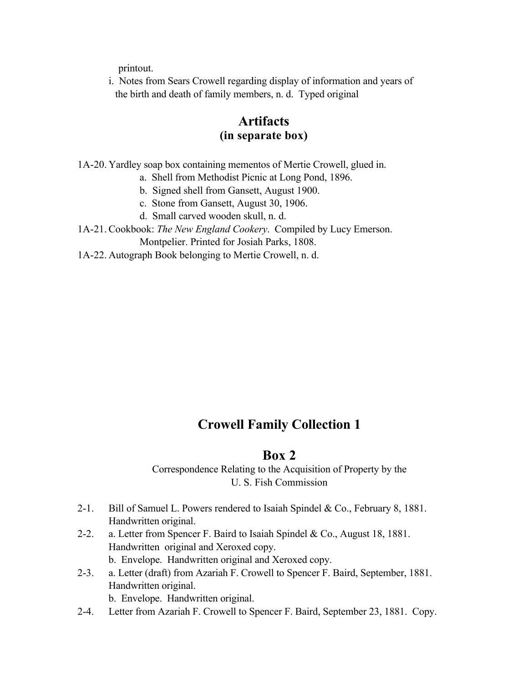printout.

i. Notes from Sears Crowell regarding display of information and years of the birth and death of family members, n. d. Typed original

# **Artifacts (in separate box)**

1A-20. Yardley soap box containing mementos of Mertie Crowell, glued in.

- a. Shell from Methodist Picnic at Long Pond, 1896.
- b. Signed shell from Gansett, August 1900.
- c. Stone from Gansett, August 30, 1906.
- d. Small carved wooden skull, n. d.
- 1A-21. Cookbook: *The New England Cookery*. Compiled by Lucy Emerson. Montpelier. Printed for Josiah Parks, 1808.
- 1A-22. Autograph Book belonging to Mertie Crowell, n. d.

# **Crowell Family Collection 1**

## **Box 2**

Correspondence Relating to the Acquisition of Property by the U. S. Fish Commission

- 2-1. Bill of Samuel L. Powers rendered to Isaiah Spindel & Co., February 8, 1881. Handwritten original.
- 2-2. a. Letter from Spencer F. Baird to Isaiah Spindel & Co., August 18, 1881. Handwritten original and Xeroxed copy. b. Envelope. Handwritten original and Xeroxed copy.
- 2-3. a. Letter (draft) from Azariah F. Crowell to Spencer F. Baird, September, 1881. Handwritten original. b. Envelope. Handwritten original.
- 2-4. Letter from Azariah F. Crowell to Spencer F. Baird, September 23, 1881. Copy.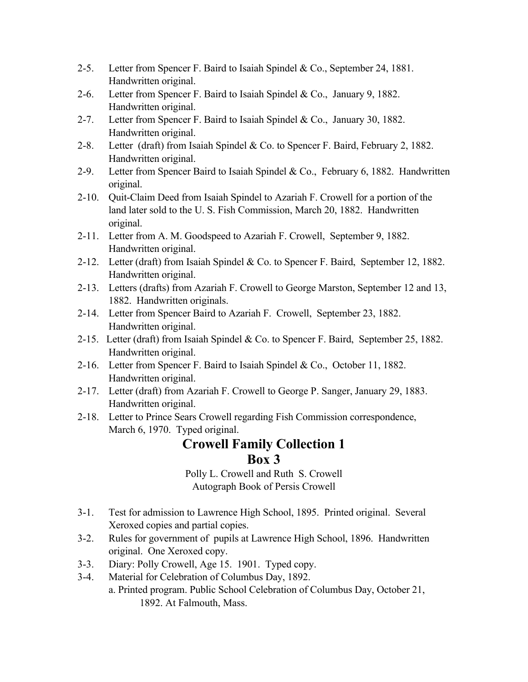- 2-5. Letter from Spencer F. Baird to Isaiah Spindel & Co., September 24, 1881. Handwritten original.
- 2-6. Letter from Spencer F. Baird to Isaiah Spindel & Co., January 9, 1882. Handwritten original.
- 2-7. Letter from Spencer F. Baird to Isaiah Spindel & Co., January 30, 1882. Handwritten original.
- 2-8. Letter (draft) from Isaiah Spindel & Co. to Spencer F. Baird, February 2, 1882. Handwritten original.
- 2-9. Letter from Spencer Baird to Isaiah Spindel & Co., February 6, 1882. Handwritten original.
- 2-10. Quit-Claim Deed from Isaiah Spindel to Azariah F. Crowell for a portion of the land later sold to the U. S. Fish Commission, March 20, 1882. Handwritten original.
- 2-11. Letter from A. M. Goodspeed to Azariah F. Crowell, September 9, 1882. Handwritten original.
- 2-12. Letter (draft) from Isaiah Spindel & Co. to Spencer F. Baird, September 12, 1882. Handwritten original.
- 2-13. Letters (drafts) from Azariah F. Crowell to George Marston, September 12 and 13, 1882. Handwritten originals.
- 2-14. Letter from Spencer Baird to Azariah F. Crowell, September 23, 1882. Handwritten original.
- 2-15. Letter (draft) from Isaiah Spindel & Co. to Spencer F. Baird, September 25, 1882. Handwritten original.
- 2-16. Letter from Spencer F. Baird to Isaiah Spindel & Co., October 11, 1882. Handwritten original.
- 2-17. Letter (draft) from Azariah F. Crowell to George P. Sanger, January 29, 1883. Handwritten original.
- 2-18. Letter to Prince Sears Crowell regarding Fish Commission correspondence, March 6, 1970. Typed original.

# **Crowell Family Collection 1 Box 3**

Polly L. Crowell and Ruth S. Crowell Autograph Book of Persis Crowell

- 3-1. Test for admission to Lawrence High School, 1895. Printed original. Several Xeroxed copies and partial copies.
- 3-2. Rules for government of pupils at Lawrence High School, 1896. Handwritten original. One Xeroxed copy.
- 3-3. Diary: Polly Crowell, Age 15. 1901. Typed copy.
- 3-4. Material for Celebration of Columbus Day, 1892. a. Printed program. Public School Celebration of Columbus Day, October 21, 1892. At Falmouth, Mass.